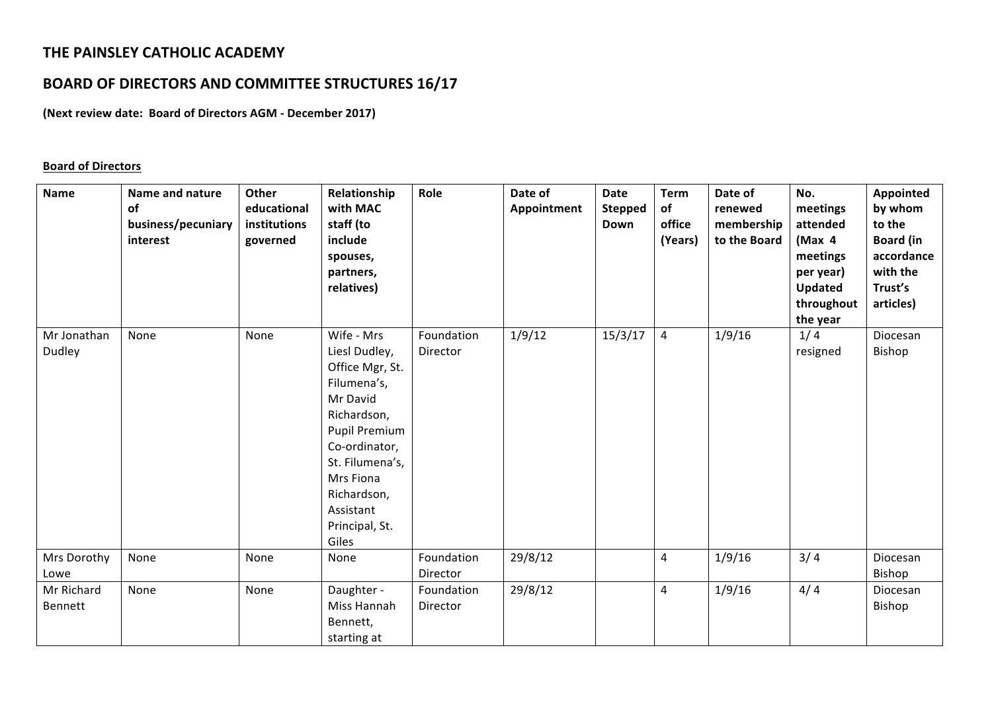# **THE PAINSLEY CATHOLIC ACADEMY**

# **BOARD OF DIRECTORS AND COMMITTEE STRUCTURES 16/17**

**(Next review date: Board of Directors AGM - December 2017)** 

#### **Board of Directors**

| <b>Name</b>           | <b>Name and nature</b><br>of<br>business/pecuniary<br>interest | Other<br>educational<br>institutions<br>governed | Relationship<br>with MAC<br>staff (to<br>include<br>spouses,<br>partners,<br>relatives)                                                                                                                           | Role                   | Date of<br>Appointment | <b>Date</b><br><b>Stepped</b><br>Down | <b>Term</b><br>of<br>office<br>(Years) | Date of<br>renewed<br>membership<br>to the Board | No.<br>meetings<br>attended<br>(Max 4)<br>meetings<br>per year)<br><b>Updated</b><br>throughout<br>the year | Appointed<br>by whom<br>to the<br><b>Board (in</b><br>accordance<br>with the<br>Trust's<br>articles) |
|-----------------------|----------------------------------------------------------------|--------------------------------------------------|-------------------------------------------------------------------------------------------------------------------------------------------------------------------------------------------------------------------|------------------------|------------------------|---------------------------------------|----------------------------------------|--------------------------------------------------|-------------------------------------------------------------------------------------------------------------|------------------------------------------------------------------------------------------------------|
| Mr Jonathan<br>Dudley | None                                                           | None                                             | Wife - Mrs<br>Liesl Dudley,<br>Office Mgr, St.<br>Filumena's,<br>Mr David<br>Richardson,<br>Pupil Premium<br>Co-ordinator,<br>St. Filumena's,<br>Mrs Fiona<br>Richardson,<br>Assistant<br>Principal, St.<br>Giles | Foundation<br>Director | 1/9/12                 | 15/3/17                               | $\overline{4}$                         | 1/9/16                                           | 1/4<br>resigned                                                                                             | Diocesan<br>Bishop                                                                                   |
| Mrs Dorothy<br>Lowe   | None                                                           | None                                             | None                                                                                                                                                                                                              | Foundation<br>Director | 29/8/12                |                                       | 4                                      | 1/9/16                                           | 3/4                                                                                                         | Diocesan<br>Bishop                                                                                   |
| Mr Richard<br>Bennett | None                                                           | None                                             | Daughter -<br>Miss Hannah<br>Bennett,<br>starting at                                                                                                                                                              | Foundation<br>Director | 29/8/12                |                                       | 4                                      | 1/9/16                                           | 4/4                                                                                                         | Diocesan<br>Bishop                                                                                   |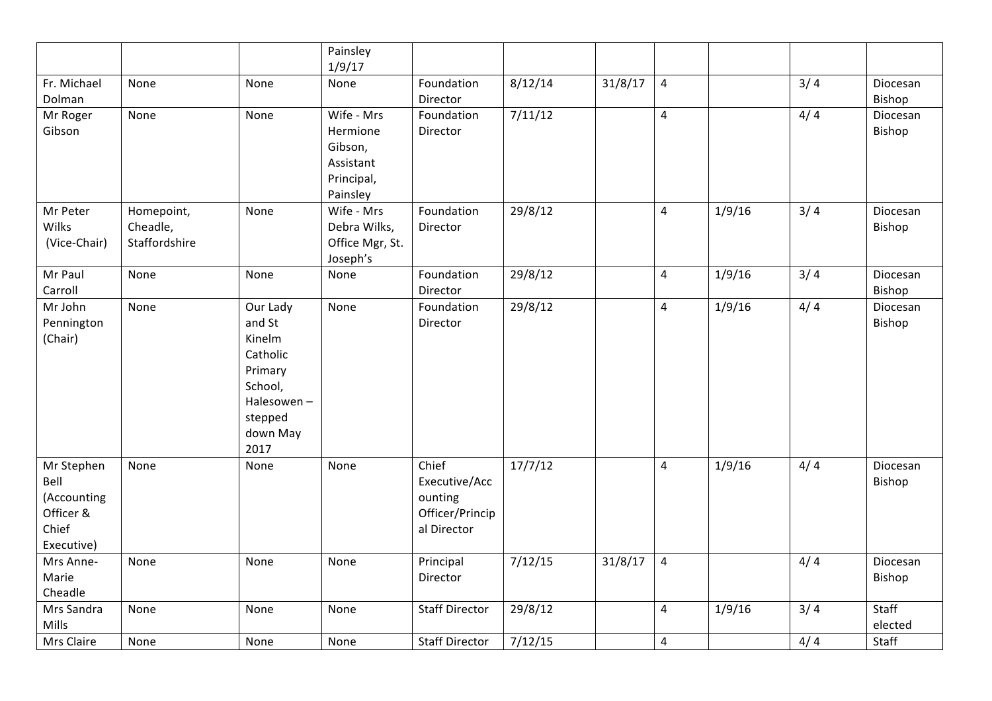|                                                                       |                                         |                                                                                                             | Painsley<br>1/9/17                                                       |                                                                     |         |         |                |        |     |                    |
|-----------------------------------------------------------------------|-----------------------------------------|-------------------------------------------------------------------------------------------------------------|--------------------------------------------------------------------------|---------------------------------------------------------------------|---------|---------|----------------|--------|-----|--------------------|
| Fr. Michael<br>Dolman                                                 | None                                    | None                                                                                                        | None                                                                     | Foundation<br>Director                                              | 8/12/14 | 31/8/17 | $\sqrt{4}$     |        | 3/4 | Diocesan<br>Bishop |
| Mr Roger<br>Gibson                                                    | None                                    | None                                                                                                        | Wife - Mrs<br>Hermione<br>Gibson,<br>Assistant<br>Principal,<br>Painsley | Foundation<br>Director                                              | 7/11/12 |         | $\overline{4}$ |        | 4/4 | Diocesan<br>Bishop |
| Mr Peter<br>Wilks<br>(Vice-Chair)                                     | Homepoint,<br>Cheadle,<br>Staffordshire | None                                                                                                        | Wife - Mrs<br>Debra Wilks,<br>Office Mgr, St.<br>Joseph's                | Foundation<br>Director                                              | 29/8/12 |         | $\overline{4}$ | 1/9/16 | 3/4 | Diocesan<br>Bishop |
| Mr Paul<br>Carroll                                                    | None                                    | None                                                                                                        | None                                                                     | Foundation<br>Director                                              | 29/8/12 |         | $\overline{4}$ | 1/9/16 | 3/4 | Diocesan<br>Bishop |
| Mr John<br>Pennington<br>(Chair)                                      | None                                    | Our Lady<br>and St<br>Kinelm<br>Catholic<br>Primary<br>School,<br>Halesowen-<br>stepped<br>down May<br>2017 | None                                                                     | Foundation<br>Director                                              | 29/8/12 |         | $\overline{4}$ | 1/9/16 | 4/4 | Diocesan<br>Bishop |
| Mr Stephen<br>Bell<br>(Accounting<br>Officer &<br>Chief<br>Executive) | None                                    | None                                                                                                        | None                                                                     | Chief<br>Executive/Acc<br>ounting<br>Officer/Princip<br>al Director | 17/7/12 |         | $\overline{4}$ | 1/9/16 | 4/4 | Diocesan<br>Bishop |
| Mrs Anne-<br>Marie<br>Cheadle                                         | None                                    | None                                                                                                        | None                                                                     | Principal<br>Director                                               | 7/12/15 | 31/8/17 | $\overline{4}$ |        | 4/4 | Diocesan<br>Bishop |
| Mrs Sandra<br>Mills                                                   | None                                    | None                                                                                                        | None                                                                     | <b>Staff Director</b>                                               | 29/8/12 |         | $\overline{4}$ | 1/9/16 | 3/4 | Staff<br>elected   |
| Mrs Claire                                                            | None                                    | None                                                                                                        | None                                                                     | <b>Staff Director</b>                                               | 7/12/15 |         | $\overline{4}$ |        | 4/4 | Staff              |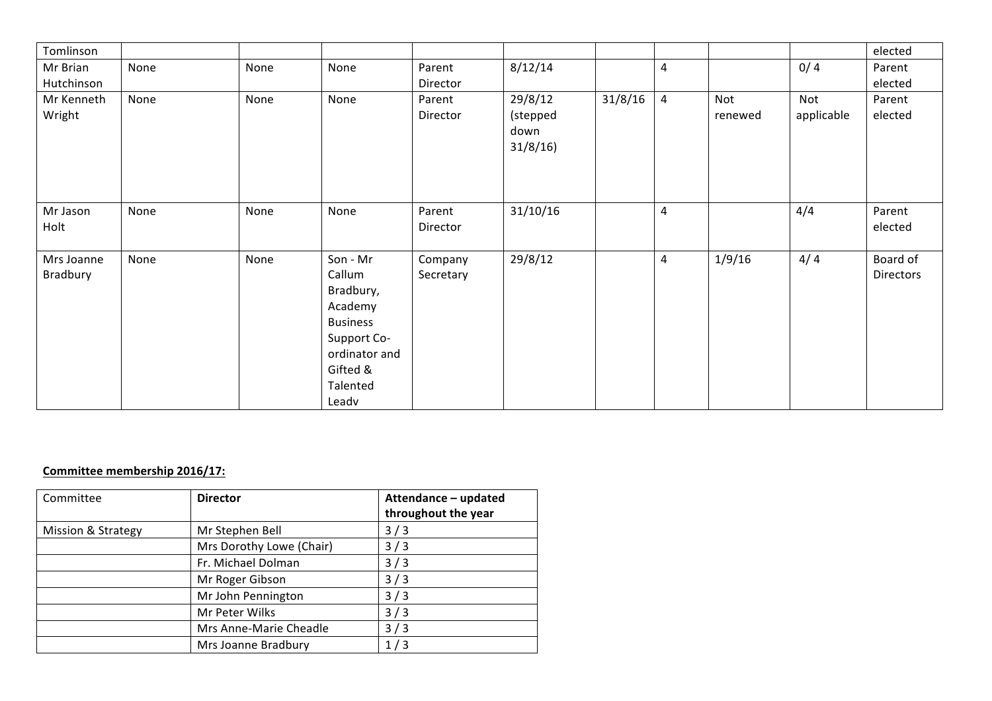| Tomlinson              |      |      |                                                                                                                                |                      |                                        |         |                |                |                   | elected               |
|------------------------|------|------|--------------------------------------------------------------------------------------------------------------------------------|----------------------|----------------------------------------|---------|----------------|----------------|-------------------|-----------------------|
| Mr Brian               | None | None | None                                                                                                                           | Parent               | 8/12/14                                |         | 4              |                | 0/4               | Parent                |
| Hutchinson             |      |      |                                                                                                                                | Director             |                                        |         |                |                |                   | elected               |
| Mr Kenneth<br>Wright   | None | None | None                                                                                                                           | Parent<br>Director   | 29/8/12<br>(stepped<br>down<br>31/8/16 | 31/8/16 | $\overline{a}$ | Not<br>renewed | Not<br>applicable | Parent<br>elected     |
| Mr Jason<br>Holt       | None | None | None                                                                                                                           | Parent<br>Director   | 31/10/16                               |         | 4              |                | 4/4               | Parent<br>elected     |
| Mrs Joanne<br>Bradbury | None | None | Son - Mr<br>Callum<br>Bradbury,<br>Academy<br><b>Business</b><br>Support Co-<br>ordinator and<br>Gifted &<br>Talented<br>Leadv | Company<br>Secretary | 29/8/12                                |         | 4              | 1/9/16         | 4/4               | Board of<br>Directors |

#### **Committee membership 2016/17:**

| Committee          | <b>Director</b>          | Attendance - updated<br>throughout the year |
|--------------------|--------------------------|---------------------------------------------|
| Mission & Strategy | Mr Stephen Bell          | 3/3                                         |
|                    | Mrs Dorothy Lowe (Chair) | 3/3                                         |
|                    | Fr. Michael Dolman       | 3/3                                         |
|                    | Mr Roger Gibson          | 3/3                                         |
|                    | Mr John Pennington       | 3/3                                         |
|                    | Mr Peter Wilks           | 3/3                                         |
|                    | Mrs Anne-Marie Cheadle   | 3/3                                         |
|                    | Mrs Joanne Bradbury      | 1/3                                         |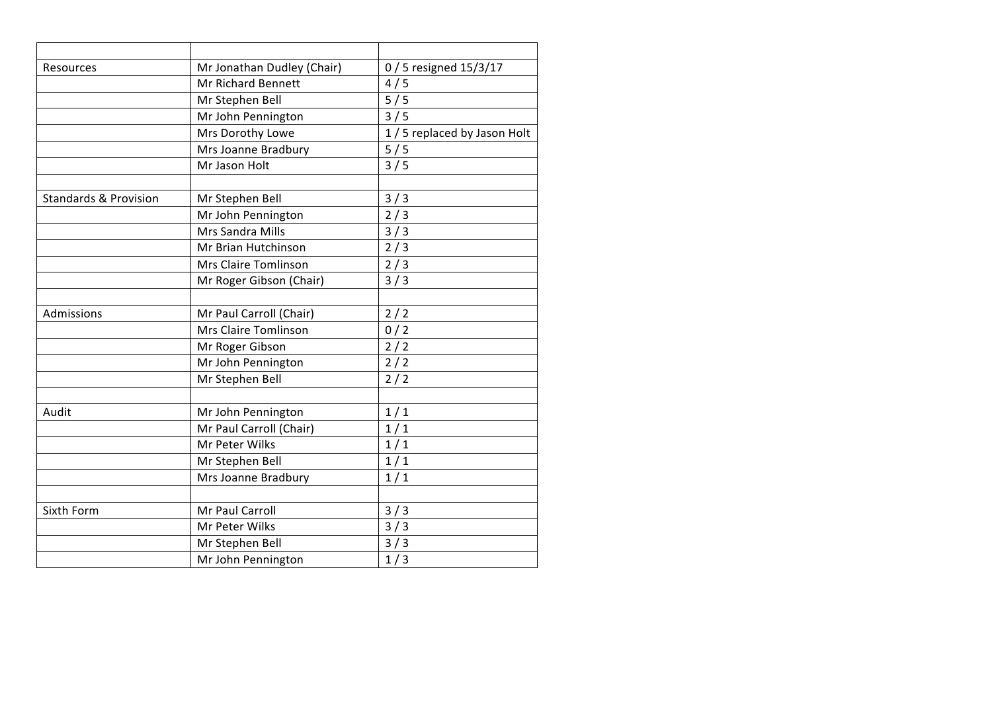| Resources                        | Mr Jonathan Dudley (Chair) | 0 / 5 resigned 15/3/17       |
|----------------------------------|----------------------------|------------------------------|
|                                  | Mr Richard Bennett         | 4/5                          |
|                                  | Mr Stephen Bell            | 5/5                          |
|                                  | Mr John Pennington         | 3/5                          |
|                                  | Mrs Dorothy Lowe           | 1 / 5 replaced by Jason Holt |
|                                  | Mrs Joanne Bradbury        | 5/5                          |
|                                  | Mr Jason Holt              | 3/5                          |
|                                  |                            |                              |
| <b>Standards &amp; Provision</b> | Mr Stephen Bell            | 3/3                          |
|                                  | Mr John Pennington         | 2/3                          |
|                                  | Mrs Sandra Mills           | 3/3                          |
|                                  | Mr Brian Hutchinson        | 2/3                          |
|                                  | Mrs Claire Tomlinson       | 2/3                          |
|                                  | Mr Roger Gibson (Chair)    | 3/3                          |
|                                  |                            |                              |
| Admissions                       | Mr Paul Carroll (Chair)    | 2/2                          |
|                                  | Mrs Claire Tomlinson       | 0/2                          |
|                                  | Mr Roger Gibson            | 2/2                          |
|                                  | Mr John Pennington         | $2/2$                        |
|                                  | Mr Stephen Bell            | 2/2                          |
|                                  |                            |                              |
| Audit                            | Mr John Pennington         | 1/1                          |
|                                  | Mr Paul Carroll (Chair)    | 1/1                          |
|                                  | Mr Peter Wilks             | 1/1                          |
|                                  | Mr Stephen Bell            | 1/1                          |
|                                  | Mrs Joanne Bradbury        | 1/1                          |
|                                  |                            |                              |
| Sixth Form                       | Mr Paul Carroll            | 3/3                          |
|                                  | Mr Peter Wilks             | 3/3                          |
|                                  | Mr Stephen Bell            | 3/3                          |
|                                  | Mr John Pennington         | 1/3                          |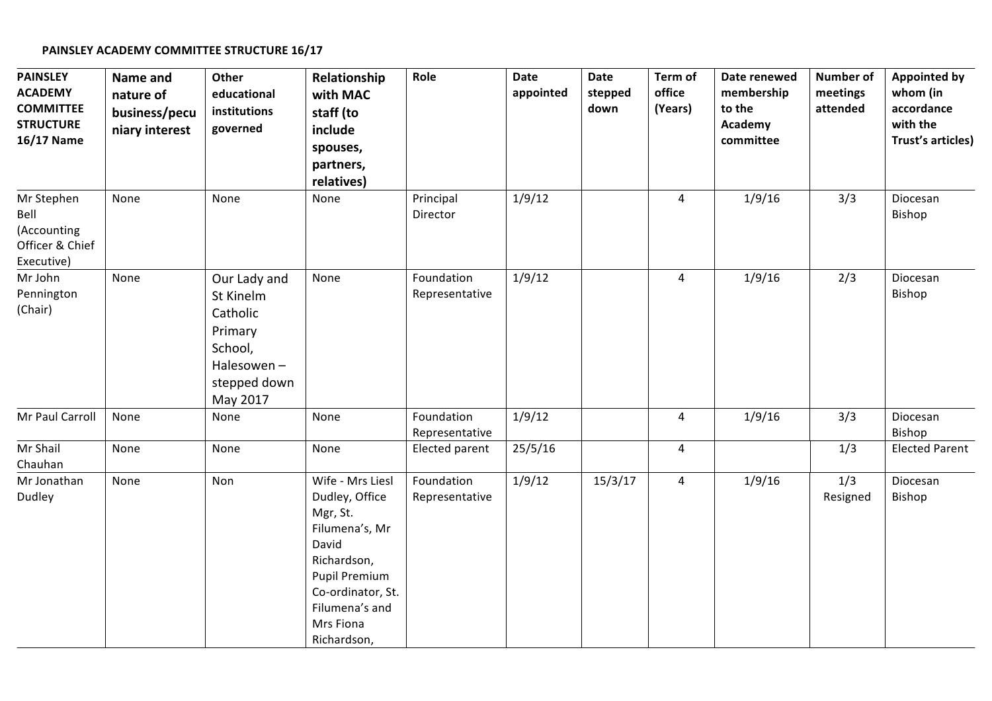#### **PAINSLEY ACADEMY COMMITTEE STRUCTURE 16/17**

| <b>PAINSLEY</b><br><b>ACADEMY</b><br><b>COMMITTEE</b><br><b>STRUCTURE</b><br>16/17 Name | Name and<br>nature of<br>business/pecu<br>niary interest | Other<br>educational<br>institutions<br>governed                                                      | Relationship<br>with MAC<br>staff (to<br>include<br>spouses,<br>partners,<br>relatives)                                                                                      | Role                         | Date<br>appointed | Date<br>stepped<br>down | Term of<br>office<br>(Years) | Date renewed<br>membership<br>to the<br>Academy<br>committee | <b>Number of</b><br>meetings<br>attended | <b>Appointed by</b><br>whom (in<br>accordance<br>with the<br><b>Trust's articles)</b> |
|-----------------------------------------------------------------------------------------|----------------------------------------------------------|-------------------------------------------------------------------------------------------------------|------------------------------------------------------------------------------------------------------------------------------------------------------------------------------|------------------------------|-------------------|-------------------------|------------------------------|--------------------------------------------------------------|------------------------------------------|---------------------------------------------------------------------------------------|
| Mr Stephen<br>Bell<br>(Accounting<br>Officer & Chief<br>Executive)                      | None                                                     | None                                                                                                  | None                                                                                                                                                                         | Principal<br>Director        | 1/9/12            |                         | $\overline{4}$               | 1/9/16                                                       | 3/3                                      | Diocesan<br>Bishop                                                                    |
| Mr John<br>Pennington<br>(Chair)                                                        | None                                                     | Our Lady and<br>St Kinelm<br>Catholic<br>Primary<br>School,<br>Halesowen-<br>stepped down<br>May 2017 | None                                                                                                                                                                         | Foundation<br>Representative | 1/9/12            |                         | 4                            | 1/9/16                                                       | 2/3                                      | Diocesan<br>Bishop                                                                    |
| Mr Paul Carroll                                                                         | None                                                     | None                                                                                                  | None                                                                                                                                                                         | Foundation<br>Representative | 1/9/12            |                         | 4                            | 1/9/16                                                       | 3/3                                      | Diocesan<br>Bishop                                                                    |
| Mr Shail<br>Chauhan                                                                     | None                                                     | None                                                                                                  | None                                                                                                                                                                         | Elected parent               | 25/5/16           |                         | 4                            |                                                              | 1/3                                      | <b>Elected Parent</b>                                                                 |
| Mr Jonathan<br>Dudley                                                                   | None                                                     | Non                                                                                                   | Wife - Mrs Liesl<br>Dudley, Office<br>Mgr, St.<br>Filumena's, Mr<br>David<br>Richardson,<br>Pupil Premium<br>Co-ordinator, St.<br>Filumena's and<br>Mrs Fiona<br>Richardson, | Foundation<br>Representative | 1/9/12            | 15/3/17                 | $\overline{4}$               | 1/9/16                                                       | 1/3<br>Resigned                          | Diocesan<br>Bishop                                                                    |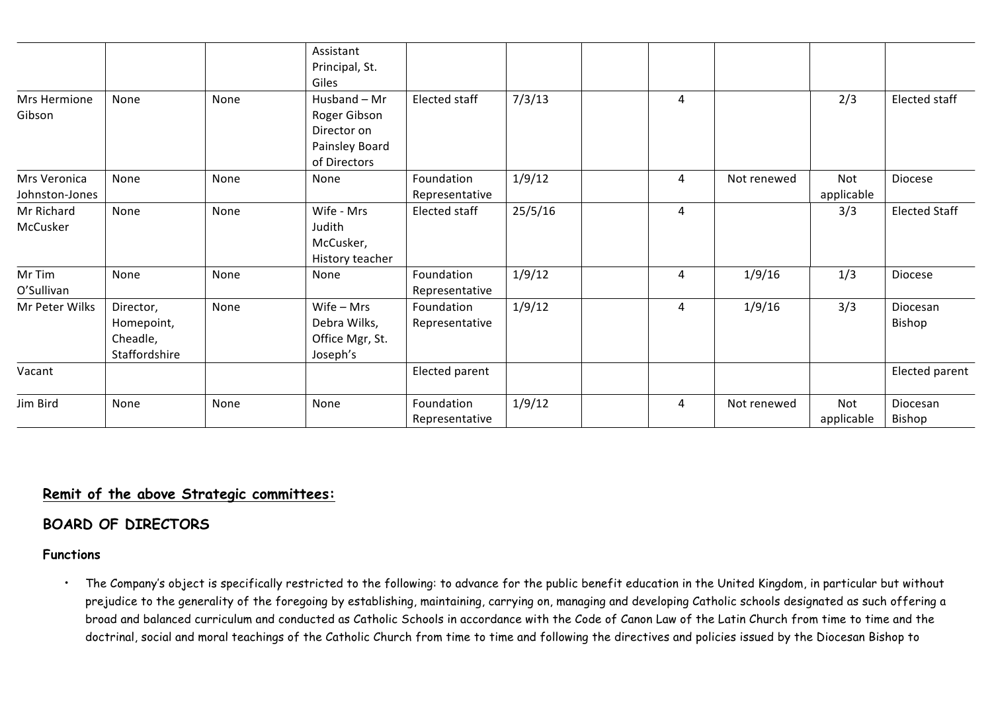|                |               |      | Assistant       |                |         |   |             |            |                      |
|----------------|---------------|------|-----------------|----------------|---------|---|-------------|------------|----------------------|
|                |               |      | Principal, St.  |                |         |   |             |            |                      |
|                |               |      | Giles           |                |         |   |             |            |                      |
| Mrs Hermione   | None          | None | Husband - Mr    | Elected staff  | 7/3/13  | 4 |             | 2/3        | Elected staff        |
| Gibson         |               |      | Roger Gibson    |                |         |   |             |            |                      |
|                |               |      | Director on     |                |         |   |             |            |                      |
|                |               |      | Painsley Board  |                |         |   |             |            |                      |
|                |               |      | of Directors    |                |         |   |             |            |                      |
| Mrs Veronica   | None          | None | None            | Foundation     | 1/9/12  | 4 | Not renewed | Not        | Diocese              |
| Johnston-Jones |               |      |                 | Representative |         |   |             | applicable |                      |
| Mr Richard     | None          | None | Wife - Mrs      | Elected staff  | 25/5/16 | 4 |             | 3/3        | <b>Elected Staff</b> |
| McCusker       |               |      | Judith          |                |         |   |             |            |                      |
|                |               |      | McCusker,       |                |         |   |             |            |                      |
|                |               |      | History teacher |                |         |   |             |            |                      |
| Mr Tim         | None          | None | None            | Foundation     | 1/9/12  | 4 | 1/9/16      | 1/3        | Diocese              |
| O'Sullivan     |               |      |                 | Representative |         |   |             |            |                      |
| Mr Peter Wilks | Director,     | None | $Wife - Mrs$    | Foundation     | 1/9/12  | 4 | 1/9/16      | 3/3        | Diocesan             |
|                | Homepoint,    |      | Debra Wilks,    | Representative |         |   |             |            | Bishop               |
|                | Cheadle,      |      | Office Mgr, St. |                |         |   |             |            |                      |
|                | Staffordshire |      | Joseph's        |                |         |   |             |            |                      |
| Vacant         |               |      |                 | Elected parent |         |   |             |            | Elected parent       |
| Jim Bird       | None          | None | None            | Foundation     | 1/9/12  | 4 | Not renewed | Not        | Diocesan             |
|                |               |      |                 | Representative |         |   |             | applicable | Bishop               |

# **Remit of the above Strategic committees:**

# **BOARD OF DIRECTORS**

#### **Functions**

• The Company's object is specifically restricted to the following: to advance for the public benefit education in the United Kingdom, in particular but without prejudice to the generality of the foregoing by establishing, maintaining, carrying on, managing and developing Catholic schools designated as such offering a broad and balanced curriculum and conducted as Catholic Schools in accordance with the Code of Canon Law of the Latin Church from time to time and the doctrinal, social and moral teachings of the Catholic Church from time to time and following the directives and policies issued by the Diocesan Bishop to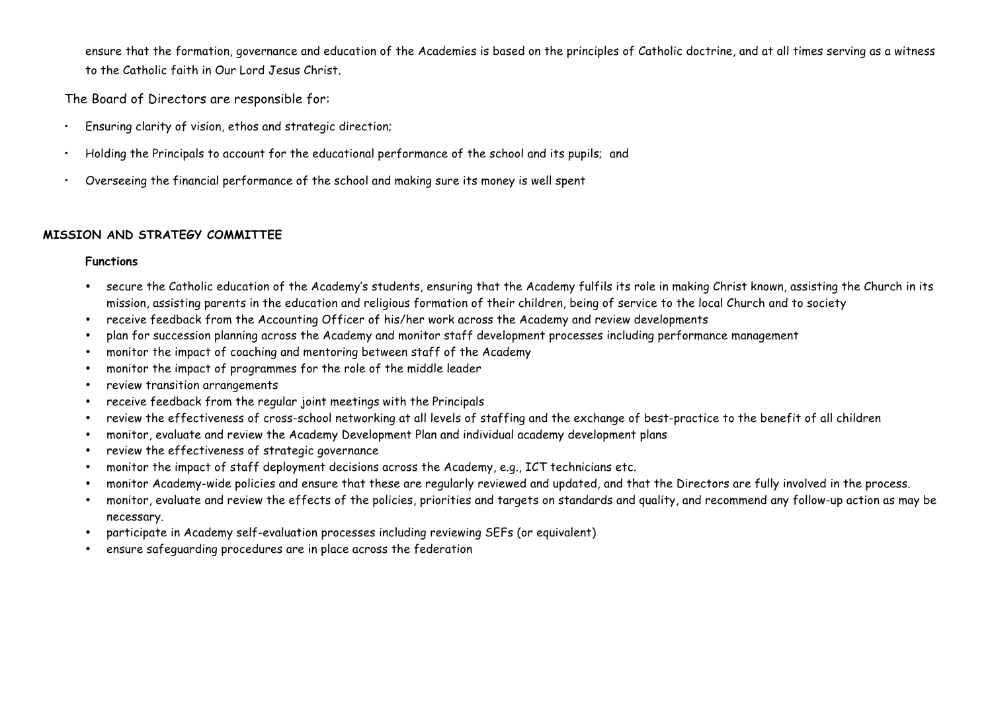ensure that the formation, governance and education of the Academies is based on the principles of Catholic doctrine, and at all times serving as a witness to the Catholic faith in Our Lord Jesus Christ.

The Board of Directors are responsible for:

- Ensuring clarity of vision, ethos and strategic direction;
- Holding the Principals to account for the educational performance of the school and its pupils; and
- Overseeing the financial performance of the school and making sure its money is well spent

## **MISSION AND STRATEGY COMMITTEE**

- secure the Catholic education of the Academy's students, ensuring that the Academy fulfils its role in making Christ known, assisting the Church in its mission, assisting parents in the education and religious formation of their children, being of service to the local Church and to society
- receive feedback from the Accounting Officer of his/her work across the Academy and review developments
- plan for succession planning across the Academy and monitor staff development processes including performance management
- monitor the impact of coaching and mentoring between staff of the Academy
- monitor the impact of programmes for the role of the middle leader
- review transition arrangements
- receive feedback from the regular joint meetings with the Principals
- review the effectiveness of cross-school networking at all levels of staffing and the exchange of best-practice to the benefit of all children
- monitor, evaluate and review the Academy Development Plan and individual academy development plans
- review the effectiveness of strategic governance
- monitor the impact of staff deployment decisions across the Academy, e.g., ICT technicians etc.
- monitor Academy-wide policies and ensure that these are regularly reviewed and updated, and that the Directors are fully involved in the process.
- monitor, evaluate and review the effects of the policies, priorities and targets on standards and quality, and recommend any follow-up action as may be necessary.
- participate in Academy self-evaluation processes including reviewing SEFs (or equivalent)
- ensure safeguarding procedures are in place across the federation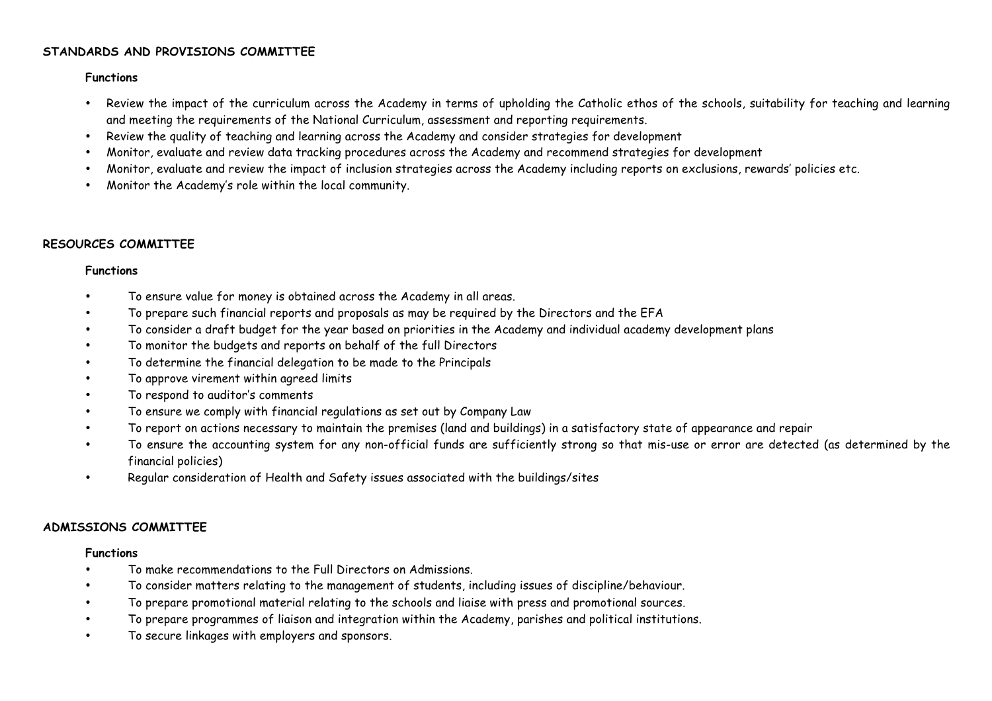#### **STANDARDS AND PROVISIONS COMMITTEE**

#### **Functions**

- Review the impact of the curriculum across the Academy in terms of upholding the Catholic ethos of the schools, suitability for teaching and learning and meeting the requirements of the National Curriculum, assessment and reporting requirements.
- Review the quality of teaching and learning across the Academy and consider strategies for development
- Monitor, evaluate and review data tracking procedures across the Academy and recommend strategies for development
- Monitor, evaluate and review the impact of inclusion strategies across the Academy including reports on exclusions, rewards' policies etc.
- Monitor the Academy's role within the local community.

#### **RESOURCES COMMITTEE**

#### **Functions**

- To ensure value for money is obtained across the Academy in all areas.
- To prepare such financial reports and proposals as may be required by the Directors and the EFA
- To consider a draft budget for the year based on priorities in the Academy and individual academy development plans
- To monitor the budgets and reports on behalf of the full Directors
- To determine the financial delegation to be made to the Principals
- To approve virement within agreed limits
- To respond to auditor's comments
- To ensure we comply with financial regulations as set out by Company Law
- To report on actions necessary to maintain the premises (land and buildings) in a satisfactory state of appearance and repair
- To ensure the accounting system for any non-official funds are sufficiently strong so that mis-use or error are detected (as determined by the financial policies)
- Regular consideration of Health and Safety issues associated with the buildings/sites

#### **ADMISSIONS COMMITTEE**

- To make recommendations to the Full Directors on Admissions.
- To consider matters relating to the management of students, including issues of discipline/behaviour.
- To prepare promotional material relating to the schools and liaise with press and promotional sources.
- To prepare programmes of liaison and integration within the Academy, parishes and political institutions.
- To secure linkages with employers and sponsors.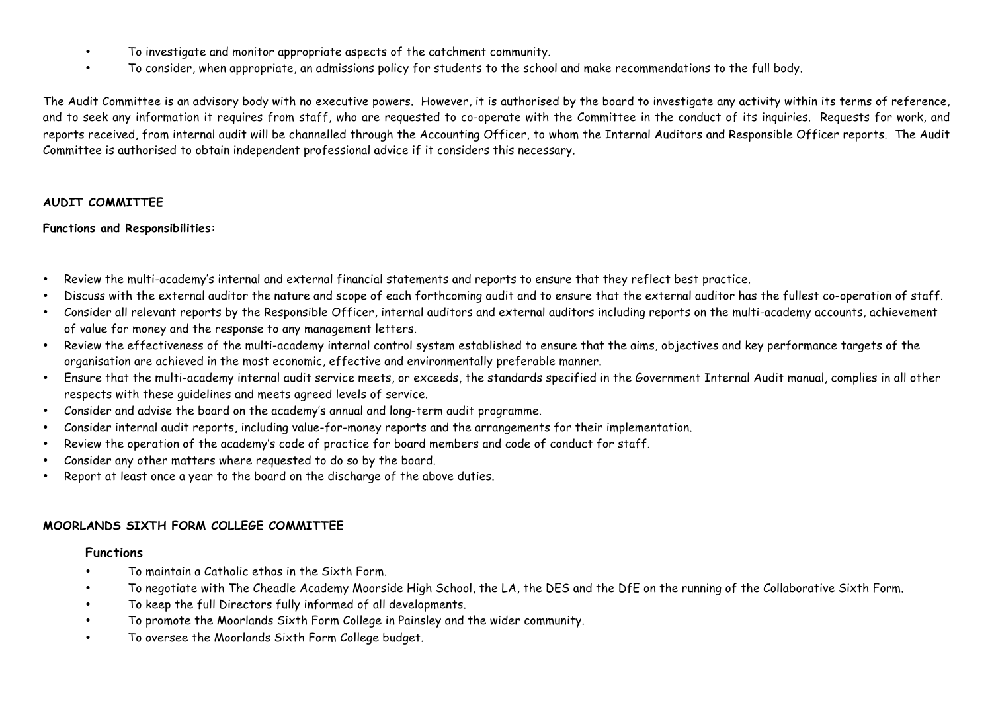- To investigate and monitor appropriate aspects of the catchment community.
- To consider, when appropriate, an admissions policy for students to the school and make recommendations to the full body.

The Audit Committee is an advisory body with no executive powers. However, it is authorised by the board to investigate any activity within its terms of reference, and to seek any information it requires from staff, who are requested to co-operate with the Committee in the conduct of its inquiries. Requests for work, and reports received, from internal audit will be channelled through the Accounting Officer, to whom the Internal Auditors and Responsible Officer reports. The Audit Committee is authorised to obtain independent professional advice if it considers this necessary.

#### **AUDIT COMMITTEE**

#### **Functions and Responsibilities:**

- Review the multi-academy's internal and external financial statements and reports to ensure that they reflect best practice.
- Discuss with the external auditor the nature and scope of each forthcoming audit and to ensure that the external auditor has the fullest co-operation of staff.
- Consider all relevant reports by the Responsible Officer, internal auditors and external auditors including reports on the multi-academy accounts, achievement of value for money and the response to any management letters.
- Review the effectiveness of the multi-academy internal control system established to ensure that the aims, objectives and key performance targets of the organisation are achieved in the most economic, effective and environmentally preferable manner.
- Ensure that the multi-academy internal audit service meets, or exceeds, the standards specified in the Government Internal Audit manual, complies in all other respects with these guidelines and meets agreed levels of service.
- Consider and advise the board on the academy's annual and long-term audit programme.
- Consider internal audit reports, including value-for-money reports and the arrangements for their implementation.
- Review the operation of the academy's code of practice for board members and code of conduct for staff.
- Consider any other matters where requested to do so by the board.
- Report at least once a year to the board on the discharge of the above duties.

### **MOORLANDS SIXTH FORM COLLEGE COMMITTEE**

- To maintain a Catholic ethos in the Sixth Form.
- To negotiate with The Cheadle Academy Moorside High School, the LA, the DES and the DfE on the running of the Collaborative Sixth Form.
- To keep the full Directors fully informed of all developments.
- To promote the Moorlands Sixth Form College in Painsley and the wider community.
- To oversee the Moorlands Sixth Form College budget.